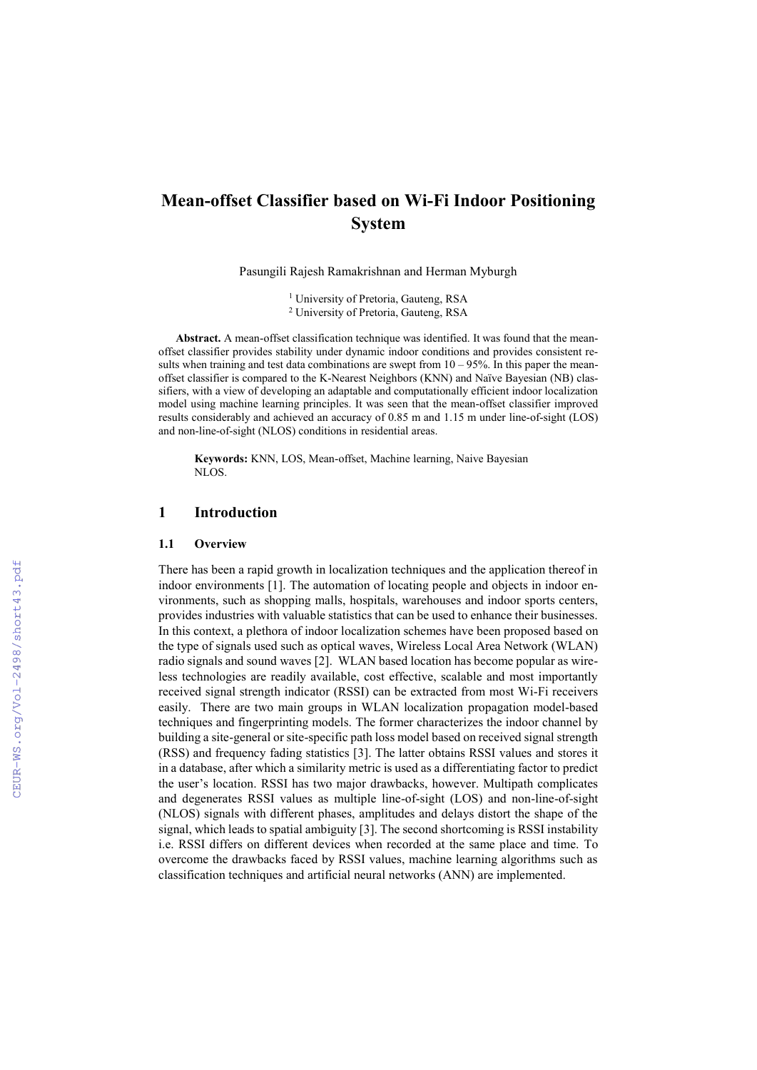# **Mean-offset Classifier based on Wi-Fi Indoor Positioning System**

Pasungili Rajesh Ramakrishnan and Herman Myburgh

<sup>1</sup> University of Pretoria, Gauteng, RSA 2 University of Pretoria, Gauteng, RSA

**Abstract.** A mean-offset classification technique was identified. It was found that the meanoffset classifier provides stability under dynamic indoor conditions and provides consistent results when training and test data combinations are swept from  $10 - 95\%$ . In this paper the meanoffset classifier is compared to the K-Nearest Neighbors (KNN) and Naïve Bayesian (NB) classifiers, with a view of developing an adaptable and computationally efficient indoor localization model using machine learning principles. It was seen that the mean-offset classifier improved results considerably and achieved an accuracy of 0.85 m and 1.15 m under line-of-sight (LOS) and non-line-of-sight (NLOS) conditions in residential areas.

**Keywords:** KNN, LOS, Mean-offset, Machine learning, Naive Bayesian NLOS.

# **1 Introduction**

#### **1.1 Overview**

There has been a rapid growth in localization techniques and the application thereof in indoor environments [1]. The automation of locating people and objects in indoor environments, such as shopping malls, hospitals, warehouses and indoor sports centers, provides industries with valuable statistics that can be used to enhance their businesses. In this context, a plethora of indoor localization schemes have been proposed based on the type of signals used such as optical waves, Wireless Local Area Network (WLAN) radio signals and sound waves [2]. WLAN based location has become popular as wireless technologies are readily available, cost effective, scalable and most importantly received signal strength indicator (RSSI) can be extracted from most Wi-Fi receivers easily. There are two main groups in WLAN localization propagation model-based techniques and fingerprinting models. The former characterizes the indoor channel by building a site-general or site-specific path loss model based on received signal strength (RSS) and frequency fading statistics [3]. The latter obtains RSSI values and stores it in a database, after which a similarity metric is used as a differentiating factor to predict the user's location. RSSI has two major drawbacks, however. Multipath complicates and degenerates RSSI values as multiple line-of-sight (LOS) and non-line-of-sight (NLOS) signals with different phases, amplitudes and delays distort the shape of the signal, which leads to spatial ambiguity [3]. The second shortcoming is RSSI instability i.e. RSSI differs on different devices when recorded at the same place and time. To overcome the drawbacks faced by RSSI values, machine learning algorithms such as classification techniques and artificial neural networks (ANN) are implemented.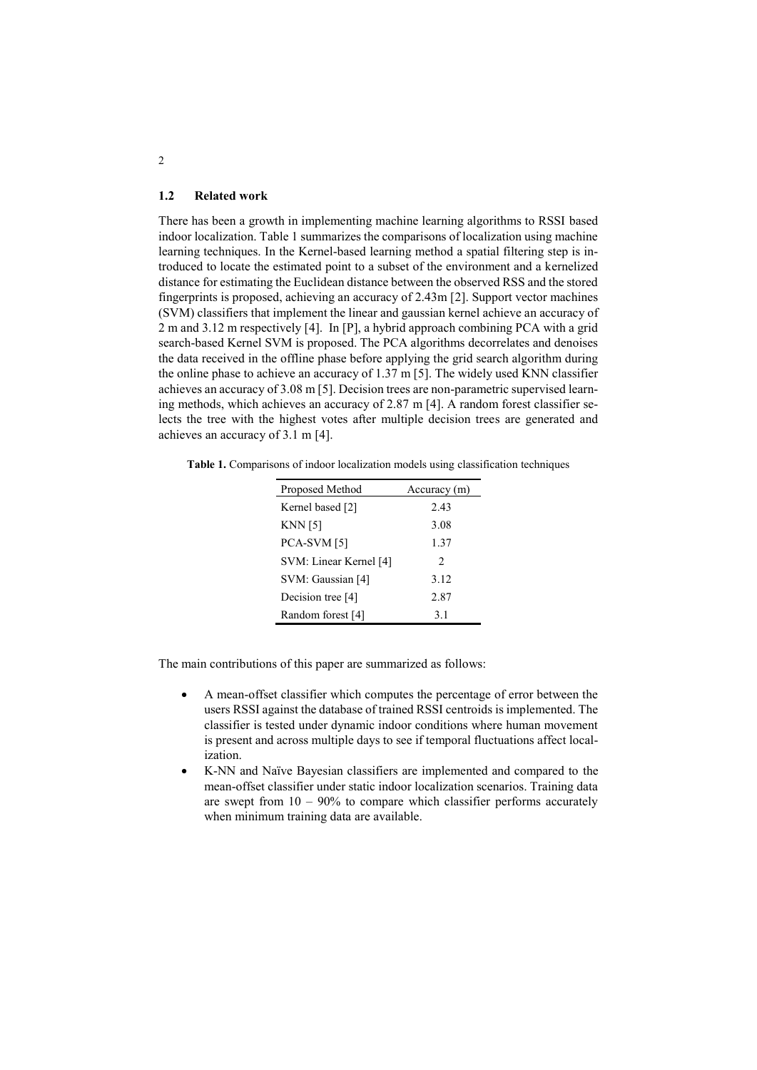#### **1.2 Related work**

There has been a growth in implementing machine learning algorithms to RSSI based indoor localization. Table 1 summarizes the comparisons of localization using machine learning techniques. In the Kernel-based learning method a spatial filtering step is introduced to locate the estimated point to a subset of the environment and a kernelized distance for estimating the Euclidean distance between the observed RSS and the stored fingerprints is proposed, achieving an accuracy of 2.43m [2]. Support vector machines (SVM) classifiers that implement the linear and gaussian kernel achieve an accuracy of 2 m and 3.12 m respectively [4]. In [P], a hybrid approach combining PCA with a grid search-based Kernel SVM is proposed. The PCA algorithms decorrelates and denoises the data received in the offline phase before applying the grid search algorithm during the online phase to achieve an accuracy of 1.37 m [5]. The widely used KNN classifier achieves an accuracy of 3.08 m [5]. Decision trees are non-parametric supervised learning methods, which achieves an accuracy of 2.87 m [4]. A random forest classifier selects the tree with the highest votes after multiple decision trees are generated and achieves an accuracy of 3.1 m [4].

**Table 1.** Comparisons of indoor localization models using classification techniques

| Proposed Method        | Accuracy (m)                  |  |  |  |  |  |  |
|------------------------|-------------------------------|--|--|--|--|--|--|
| Kernel based [2]       | 2.43                          |  |  |  |  |  |  |
| KNN [5]                | 3.08                          |  |  |  |  |  |  |
| PCA-SVM [5]            | 1.37                          |  |  |  |  |  |  |
| SVM: Linear Kernel [4] | $\mathfrak{D}_{\mathfrak{p}}$ |  |  |  |  |  |  |
| SVM: Gaussian [4]      | 3.12                          |  |  |  |  |  |  |
| Decision tree [4]      | 2.87                          |  |  |  |  |  |  |
| Random forest [4]      | 3.1                           |  |  |  |  |  |  |

The main contributions of this paper are summarized as follows:

- A mean-offset classifier which computes the percentage of error between the users RSSI against the database of trained RSSI centroids is implemented. The classifier is tested under dynamic indoor conditions where human movement is present and across multiple days to see if temporal fluctuations affect localization.
- K-NN and Naïve Bayesian classifiers are implemented and compared to the mean-offset classifier under static indoor localization scenarios. Training data are swept from  $10 - 90\%$  to compare which classifier performs accurately when minimum training data are available.

2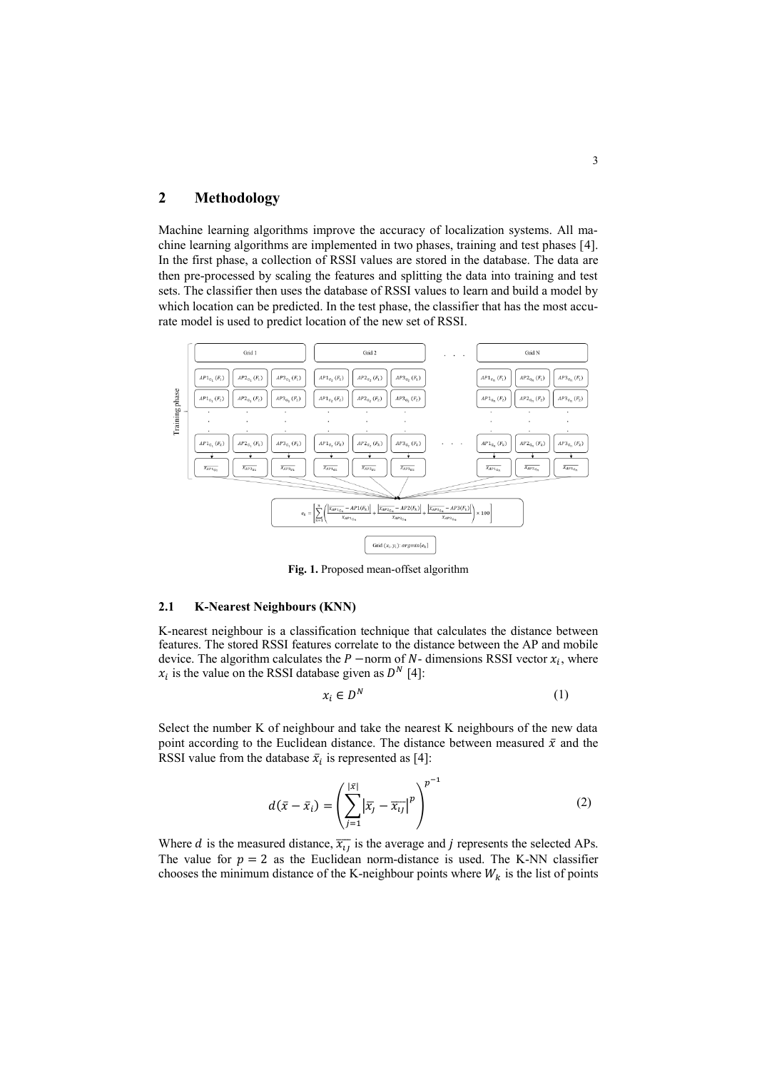# **2 Methodology**

Machine learning algorithms improve the accuracy of localization systems. All machine learning algorithms are implemented in two phases, training and test phases [4]. In the first phase, a collection of RSSI values are stored in the database. The data are then pre-processed by scaling the features and splitting the data into training and test sets. The classifier then uses the database of RSSI values to learn and build a model by which location can be predicted. In the test phase, the classifier that has the most accurate model is used to predict location of the new set of RSSI.



**Fig. 1.** Proposed mean-offset algorithm

#### **2.1 K-Nearest Neighbours (KNN)**

K-nearest neighbour is a classification technique that calculates the distance between features. The stored RSSI features correlate to the distance between the AP and mobile device. The algorithm calculates the  $P$  −norm of  $N$ - dimensions RSSI vector  $x_i$ , where  $x_i$  is the value on the RSSI database given as  $D^N$  [4]:

$$
x_i \in D^N \tag{1}
$$

Select the number K of neighbour and take the nearest K neighbours of the new data point according to the Euclidean distance. The distance between measured  $\bar{x}$  and the RSSI value from the database  $\bar{x}_i$  is represented as [4]:

$$
d(\bar{x} - \bar{x}_i) = \left(\sum_{j=1}^{|\bar{x}|} |\bar{x}_j - \bar{x}_{ij}|^p\right)^{p-1}
$$
\n(2)

Where *d* is the measured distance,  $\overline{x_{ij}}$  is the average and *j* represents the selected APs. The value for  $p = 2$  as the Euclidean norm-distance is used. The K-NN classifier chooses the minimum distance of the K-neighbour points where  $W_k$  is the list of points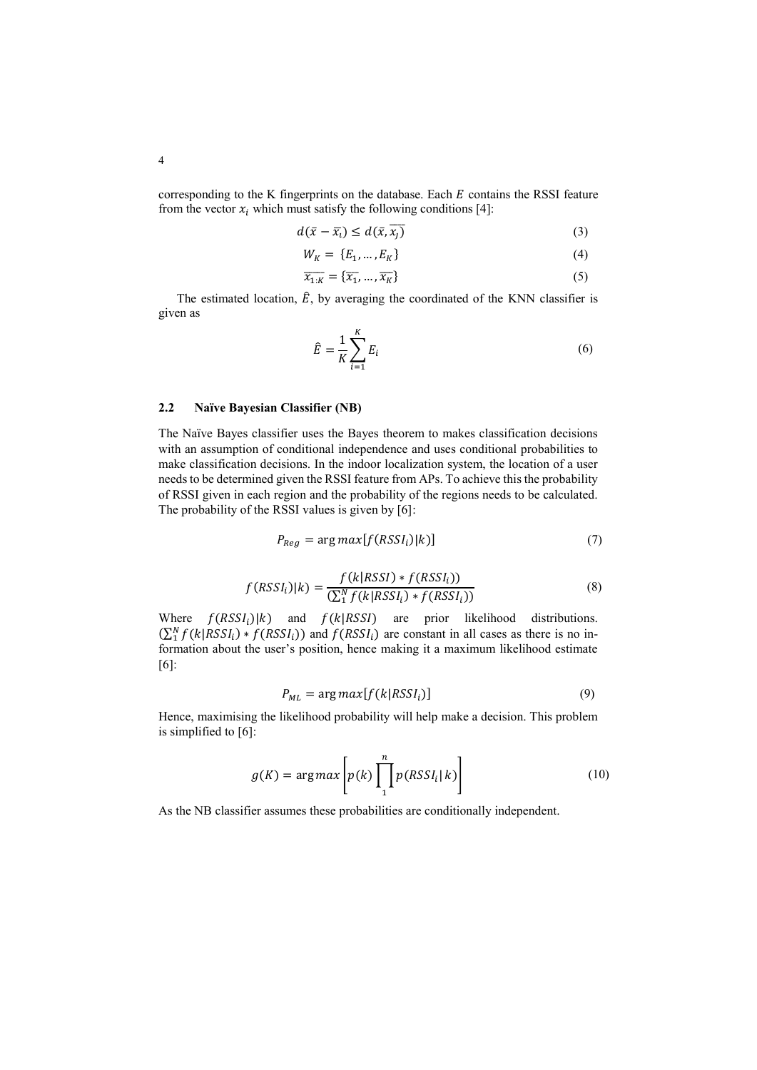corresponding to the K fingerprints on the database. Each  $E$  contains the RSSI feature from the vector  $x_i$  which must satisfy the following conditions [4]:

$$
d(\bar{x} - \bar{x}_i) \le d(\bar{x}, \bar{x}_j)
$$
\n(3)

$$
W_K = \{E_1, \dots, E_K\} \tag{4}
$$

$$
\overline{x_{1:K}} = {\overline{x_1}, \dots, \overline{x_K}}
$$
\n(5)

The estimated location,  $\hat{E}$ , by averaging the coordinated of the KNN classifier is given as

$$
\hat{E} = \frac{1}{K} \sum_{i=1}^{K} E_i
$$
\n<sup>(6)</sup>

### **2.2 Naïve Bayesian Classifier (NB)**

The Naïve Bayes classifier uses the Bayes theorem to makes classification decisions with an assumption of conditional independence and uses conditional probabilities to make classification decisions. In the indoor localization system, the location of a user needs to be determined given the RSSI feature from APs. To achieve this the probability of RSSI given in each region and the probability of the regions needs to be calculated. The probability of the RSSI values is given by [6]:

$$
P_{Reg} = \arg \max[f(RSSI_i)|k)] \tag{7}
$$

$$
f(RSSIi)|k) = \frac{f(k|RSSI) * f(RSSIi)}{\left(\sum_{1}^{N} f(k|RSSIi) * f(RSSIi)\right)}
$$
(8)

Where  $f(RSSI_i)|k)$  and  $f(k|RSSI)$  are prior likelihood distributions.  $(\sum_{i=1}^{N} f(k|RSSI_i) * f(RSSI_i))$  and  $f(RSSI_i)$  are constant in all cases as there is no information about the user's position, hence making it a maximum likelihood estimate [6]:

$$
P_{ML} = \arg \max[f(k|RSSI_i)] \tag{9}
$$

Hence, maximising the likelihood probability will help make a decision. This problem is simplified to [6]:

$$
g(K) = \arg \max \left[ p(k) \prod_{1}^{n} p(RSSI_i | k) \right]
$$
 (10)

As the NB classifier assumes these probabilities are conditionally independent.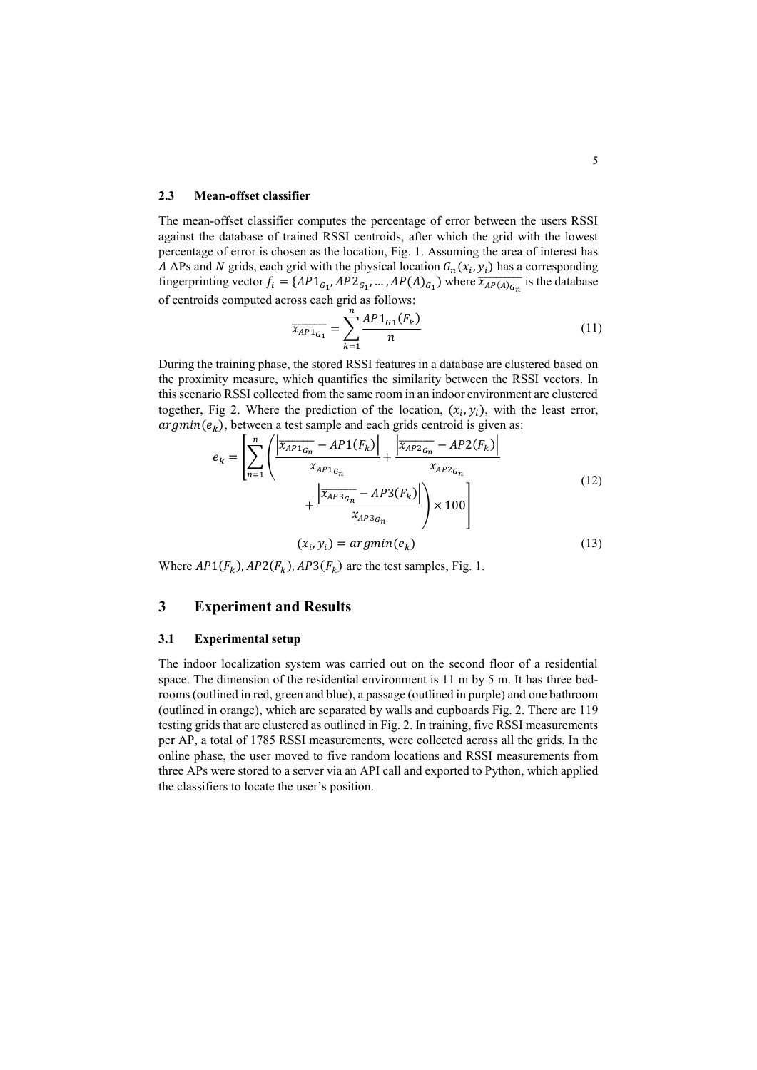#### **2.3 Mean-offset classifier**

The mean-offset classifier computes the percentage of error between the users RSSI against the database of trained RSSI centroids, after which the grid with the lowest percentage of error is chosen as the location, Fig. 1. Assuming the area of interest has A APs and N grids, each grid with the physical location  $G_n(x_i, y_i)$  has a corresponding fingerprinting vector  $f_i = \{AP1_{G_1}, AP2_{G_1}, \dots, AP(A)_{G_1}\}$  where  $\overline{x_{AP(A)_{G_n}}}$  is the database of centroids computed across each grid as follows:

$$
\overline{x_{AP1}}_{G_1} = \sum_{k=1}^{n} \frac{AP1_{G_1}(F_k)}{n}
$$
\n(11)

During the training phase, the stored RSSI features in a database are clustered based on the proximity measure, which quantifies the similarity between the RSSI vectors. In this scenario RSSI collected from the same room in an indoor environment are clustered together, Fig 2. Where the prediction of the location,  $(x_i, y_i)$ , with the least error,  $argmin(e_k)$ , between a test sample and each grids centroid is given as:

$$
e_{k} = \left[ \sum_{n=1}^{n} \left( \frac{\left| \overline{x_{AP1_{G_n}}} - AP1(F_{k}) \right|}{x_{AP1_{G_n}}} + \frac{\left| \overline{x_{AP2_{G_n}}} - AP2(F_{k}) \right|}{x_{AP2_{G_n}}} \right) + \frac{\left| \overline{x_{AP3_{G_n}}} - AP3(F_{k}) \right|}{x_{AP3_{G_n}}} \right) \times 100 \right]
$$
\n(12)\n
$$
(x_{i}, y_{i}) = argmin(e_{k})
$$

Where  $AP1(F_k)$ ,  $AP2(F_k)$ ,  $AP3(F_k)$  are the test samples, Fig. 1.

## **3 Experiment and Results**

#### **3.1 Experimental setup**

The indoor localization system was carried out on the second floor of a residential space. The dimension of the residential environment is 11 m by 5 m. It has three bedrooms (outlined in red, green and blue), a passage (outlined in purple) and one bathroom (outlined in orange), which are separated by walls and cupboards Fig. 2. There are 119 testing grids that are clustered as outlined in Fig. 2. In training, five RSSI measurements per AP, a total of 1785 RSSI measurements, were collected across all the grids. In the online phase, the user moved to five random locations and RSSI measurements from three APs were stored to a server via an API call and exported to Python, which applied the classifiers to locate the user's position.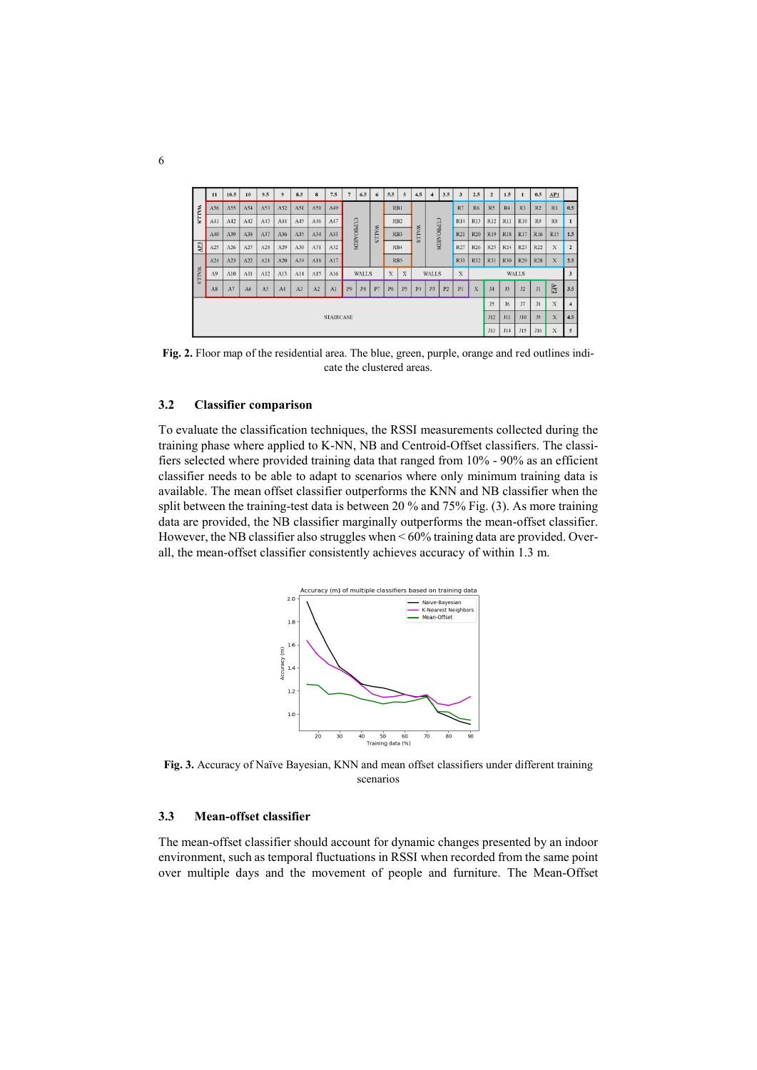|              | 11               | 10.5 | 10  | 9.5            | $\mathbf{Q}$   | 8.5 | 8   | 7.5 |                | 6.5 | 6            | 5.5        | 5              | 4.5            |                | 3.5                     | 3              | 2.5             | $\overline{2}$ | 1.5        |                | 0.5            | AP1                     |                |
|--------------|------------------|------|-----|----------------|----------------|-----|-----|-----|----------------|-----|--------------|------------|----------------|----------------|----------------|-------------------------|----------------|-----------------|----------------|------------|----------------|----------------|-------------------------|----------------|
| <b>WALLS</b> | A56              | A55  | A54 | A53            | A52            | A51 | A50 | A49 | CUPBOARDS      |     |              |            | RB1            |                |                |                         | R7             | R <sub>6</sub>  | R <sub>5</sub> | R4         | R <sub>3</sub> | R <sub>2</sub> | R1                      | 0.5            |
|              | A41              | A42  | A42 | A43            | A44            | A45 | A46 | A47 |                |     |              |            | RB2            |                |                |                         | R14            | R13             | R12            | <b>R11</b> | <b>R10</b>     | R9             | R8                      | $\mathbf{1}$   |
|              | A40              | A39  | A38 | A37            | A36            | A35 | A34 | A33 |                |     | <b>NALLS</b> | RB3        |                | <b>WALLS</b>   | CUPBOARDS      | R21                     | R20            | R19             | <b>R18</b>     | R17        | <b>R16</b>     | <b>R15</b>     | 1.5                     |                |
| $\mathbf{A}$ | A25              | A26  | A27 | A28            | A29            | A30 | A31 | A32 |                |     |              |            | RB4            |                |                |                         | R27            | R <sub>26</sub> | R25            | R24        | R23            | R22            | X                       | $\overline{2}$ |
|              | A24              | A23  | A22 | A21            | A20            | A19 | A18 | A17 |                |     |              |            | RB5            |                |                |                         |                | R32             | R31            | R30        | R29            | <b>R28</b>     | $\mathbf x$             | 2.5            |
| <b>WALLS</b> | A9               | A10  | A11 | A12            | A13            | A14 | A15 | A16 | <b>WALLS</b>   |     |              | X          | X              |                | <b>WALLS</b>   |                         |                | <b>WALLS</b>    |                |            |                |                | $\overline{\mathbf{3}}$ |                |
|              | A8               | A7   | A6  | A <sub>5</sub> | A <sub>4</sub> | A3  | A2  | A1  | P <sub>9</sub> | P8  | P7           | P6         | P <sub>5</sub> | P <sub>4</sub> | P <sub>3</sub> | P <sub>2</sub>          | P <sub>1</sub> | $\mathbf x$     | <b>J4</b>      | J3         | J2             | J1             | YP2                     | 3.5            |
|              |                  |      |     |                |                |     |     |     |                |     | J5           | J6         | J7             | J8             | X              | $\overline{\mathbf{4}}$ |                |                 |                |            |                |                |                         |                |
|              | <b>STAIRCASE</b> |      |     |                |                |     |     |     |                | J12 | J11          | <b>J10</b> | <b>J9</b>      | $\mathbf{x}$   | 4.5            |                         |                |                 |                |            |                |                |                         |                |
|              |                  |      |     |                |                |     |     |     | J13            | J14 | J15          | J16        | $\mathbf x$    | $\overline{5}$ |                |                         |                |                 |                |            |                |                |                         |                |

**Fig. 2.** Floor map of the residential area. The blue, green, purple, orange and red outlines indicate the clustered areas.

### **3.2 Classifier comparison**

To evaluate the classification techniques, the RSSI measurements collected during the training phase where applied to K-NN, NB and Centroid-Offset classifiers. The classifiers selected where provided training data that ranged from 10% - 90% as an efficient classifier needs to be able to adapt to scenarios where only minimum training data is available. The mean offset classifier outperforms the KNN and NB classifier when the split between the training-test data is between 20 % and 75% Fig. (3). As more training data are provided, the NB classifier marginally outperforms the mean-offset classifier. However, the NB classifier also struggles when < 60% training data are provided. Overall, the mean-offset classifier consistently achieves accuracy of within 1.3 m.



**Fig. 3.** Accuracy of Naïve Bayesian, KNN and mean offset classifiers under different training scenarios

#### **3.3 Mean-offset classifier**

The mean-offset classifier should account for dynamic changes presented by an indoor environment, such as temporal fluctuations in RSSI when recorded from the same point over multiple days and the movement of people and furniture. The Mean-Offset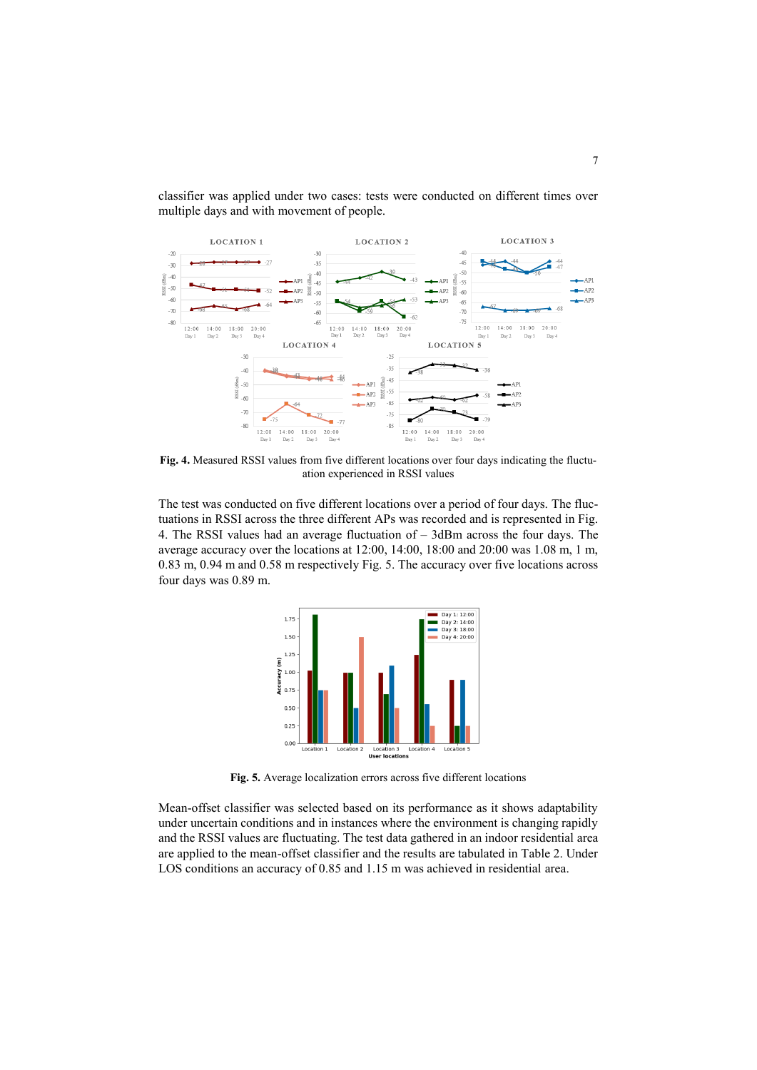

classifier was applied under two cases: tests were conducted on different times over multiple days and with movement of people.

**Fig. 4.** Measured RSSI values from five different locations over four days indicating the fluctuation experienced in RSSI values

The test was conducted on five different locations over a period of four days. The fluctuations in RSSI across the three different APs was recorded and is represented in Fig. 4. The RSSI values had an average fluctuation of – 3dBm across the four days. The average accuracy over the locations at 12:00, 14:00, 18:00 and 20:00 was 1.08 m, 1 m, 0.83 m, 0.94 m and 0.58 m respectively Fig. 5. The accuracy over five locations across four days was 0.89 m.



**Fig. 5.** Average localization errors across five different locations

Mean-offset classifier was selected based on its performance as it shows adaptability under uncertain conditions and in instances where the environment is changing rapidly and the RSSI values are fluctuating. The test data gathered in an indoor residential area are applied to the mean-offset classifier and the results are tabulated in Table 2. Under LOS conditions an accuracy of 0.85 and 1.15 m was achieved in residential area.